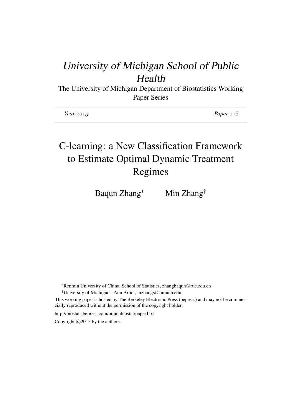## University of Michigan School of Public Health

The University of Michigan Department of Biostatistics Working Paper Series

| Year $2015$ | Paper $116$ |
|-------------|-------------|
|-------------|-------------|

# C-learning: a New Classification Framework to Estimate Optimal Dynamic Treatment Regimes

Baqun Zhang<sup>∗</sup> Min Zhang<sup>†</sup>

<sup>∗</sup>Renmin University of China, School of Statistics, zhangbaqun@ruc.edu.cn

†University of Michigan - Ann Arbor, mzhangst@umich.edu

This working paper is hosted by The Berkeley Electronic Press (bepress) and may not be commercially reproduced without the permission of the copyright holder.

http://biostats.bepress.com/umichbiostat/paper116

Copyright  $\odot$  2015 by the authors.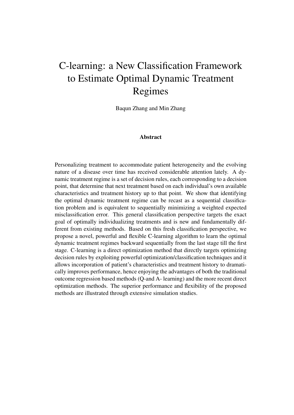# C-learning: a New Classification Framework to Estimate Optimal Dynamic Treatment Regimes

Baqun Zhang and Min Zhang

#### Abstract

Personalizing treatment to accommodate patient heterogeneity and the evolving nature of a disease over time has received considerable attention lately. A dynamic treatment regime is a set of decision rules, each corresponding to a decision point, that determine that next treatment based on each individual's own available characteristics and treatment history up to that point. We show that identifying the optimal dynamic treatment regime can be recast as a sequential classification problem and is equivalent to sequentially minimizing a weighted expected misclassification error. This general classification perspective targets the exact goal of optimally individualizing treatments and is new and fundamentally different from existing methods. Based on this fresh classification perspective, we propose a novel, powerful and flexible C-learning algorithm to learn the optimal dynamic treatment regimes backward sequentially from the last stage till the first stage. C-learning is a direct optimization method that directly targets optimizing decision rules by exploiting powerful optimization/classification techniques and it allows incorporation of patient's characteristics and treatment history to dramatically improves performance, hence enjoying the advantages of both the traditional outcome regression based methods (Q-and A- learning) and the more recent direct optimization methods. The superior performance and flexibility of the proposed methods are illustrated through extensive simulation studies.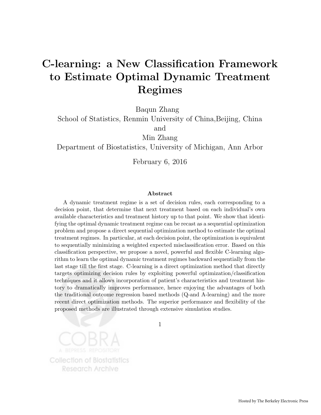## C-learning: a New Classification Framework to Estimate Optimal Dynamic Treatment Regimes

Baqun Zhang

School of Statistics, Renmin University of China,Beijing, China

and

Min Zhang

Department of Biostatistics, University of Michigan, Ann Arbor

February 6, 2016

#### Abstract

A dynamic treatment regime is a set of decision rules, each corresponding to a decision point, that determine that next treatment based on each individual's own available characteristics and treatment history up to that point. We show that identifying the optimal dynamic treatment regime can be recast as a sequential optimization problem and propose a direct sequential optimization method to estimate the optimal treatment regimes. In particular, at each decision point, the optimization is equivalent to sequentially minimizing a weighted expected misclassification error. Based on this classification perspective, we propose a novel, powerful and flexible C-learning algorithm to learn the optimal dynamic treatment regimes backward sequentially from the last stage till the first stage. C-learning is a direct optimization method that directly targets optimizing decision rules by exploiting powerful optimization/classification techniques and it allows incorporation of patient's characteristics and treatment history to dramatically improves performance, hence enjoying the advantages of both the traditional outcome regression based methods (Q-and A-learning) and the more recent direct optimization methods. The superior performance and flexibility of the proposed methods are illustrated through extensive simulation studies.

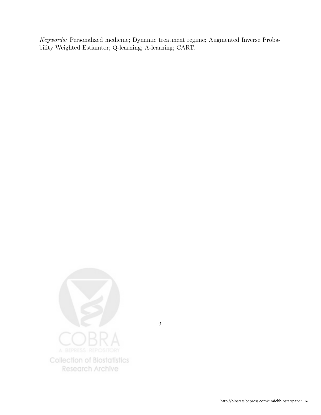Keywords: Personalized medicine; Dynamic treatment regime; Augmented Inverse Probability Weighted Estiamtor; Q-learning; A-learning; CART.

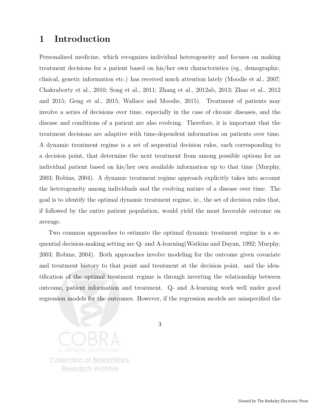#### 1 Introduction

Personalized medicine, which recognizes individual heterogeneity and focuses on making treatment decisions for a patient based on his/her own characteristics (eg., demographic, clinical, genetic information etc.) has received much attention lately (Moodie et al., 2007; Chakraborty et al., 2010; Song et al., 2011; Zhang et al., 2012ab, 2013; Zhao et al., 2012 and 2015; Geng et al., 2015; Wallace and Moodie, 2015). Treatment of patients may involve a series of decisions over time, especially in the case of chronic diseases, and the disease and conditions of a patient are also evolving. Therefore, it is important that the treatment decisions are adaptive with time-dependent information on patients over time. A dynamic treatment regime is a set of sequential decision rules, each corresponding to a decision point, that determine the next treatment from among possible options for an individual patient based on his/her own available information up to that time (Murphy, 2003; Robins, 2004). A dynamic treatment regime approach explicitly takes into account the heterogeneity among individuals and the evolving nature of a disease over time. The goal is to identify the optimal dynamic treatment regime, ie., the set of decision rules that, if followed by the entire patient population, would yield the most favorable outcome on average.

Two common approaches to estimate the optimal dynamic treatment regime in a sequential decision-making setting are Q- and A-learning(Watkins and Dayan, 1992; Murphy, 2003; Robins, 2004). Both approaches involve modeling for the outcome given covariate and treatment history to that point and treatment at the decision point. and the identification of the optimal treatment regime is through inverting the relationship between outcome, patient information and treatment. Q- and A-learning work well under good regression models for the outcomes. However, if the regression models are misspecified the

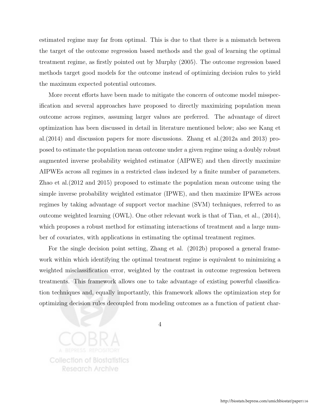estimated regime may far from optimal. This is due to that there is a mismatch between the target of the outcome regression based methods and the goal of learning the optimal treatment regime, as firstly pointed out by Murphy (2005). The outcome regression based methods target good models for the outcome instead of optimizing decision rules to yield the maximum expected potential outcomes.

More recent efforts have been made to mitigate the concern of outcome model misspecification and several approaches have proposed to directly maximizing population mean outcome across regimes, assuming larger values are preferred. The advantage of direct optimization has been discussed in detail in literature mentioned below; also see Kang et al.(2014) and discussion papers for more discussions. Zhang et al.(2012a and 2013) proposed to estimate the population mean outcome under a given regime using a doubly robust augmented inverse probability weighted estimator (AIPWE) and then directly maximize AIPWEs across all regimes in a restricted class indexed by a finite number of parameters. Zhao et al.(2012 and 2015) proposed to estimate the population mean outcome using the simple inverse probability weighted estimator (IPWE), and then maximize IPWEs across regimes by taking advantage of support vector machine (SVM) techniques, referred to as outcome weighted learning (OWL). One other relevant work is that of Tian, et al., (2014), which proposes a robust method for estimating interactions of treatment and a large number of covariates, with applications in estimating the optimal treatment regimes.

For the single decision point setting, Zhang et al. (2012b) proposed a general framework within which identifying the optimal treatment regime is equivalent to minimizing a weighted misclassification error, weighted by the contrast in outcome regression between treatments. This framework allows one to take advantage of existing powerful classification techniques and, equally importantly, this framework allows the optimization step for optimizing decision rules decoupled from modeling outcomes as a function of patient char-

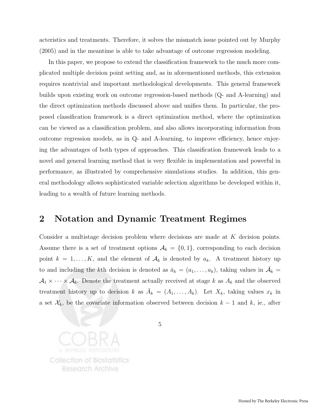acteristics and treatments. Therefore, it solves the mismatch issue pointed out by Murphy (2005) and in the meantime is able to take advantage of outcome regression modeling.

In this paper, we propose to extend the classification framework to the much more complicated multiple decision point setting and, as in aforementioned methods, this extension requires nontrivial and important methodological developments. This general framework builds upon existing work on outcome regression-based methods (Q- and A-learning) and the direct optimization methods discussed above and unifies them. In particular, the proposed classification framework is a direct optimization method, where the optimization can be viewed as a classification problem, and also allows incorporating information from outcome regression models, as in Q- and A-learning, to improve efficiency, hence enjoying the advantages of both types of approaches. This classification framework leads to a novel and general learning method that is very flexible in implementation and powerful in performance, as illustrated by comprehensive simulations studies. In addition, this general methodology allows sophisticated variable selection algorithms be developed within it, leading to a wealth of future learning methods.

#### 2 Notation and Dynamic Treatment Regimes

Consider a multistage decision problem where decisions are made at K decision points. Assume there is a set of treatment options  $A_k = \{0, 1\}$ , corresponding to each decision point  $k = 1, ..., K$ , and the element of  $A_k$  is denoted by  $a_k$ . A treatment history up to and including the kth decision is denoted as  $\bar{a}_k = (a_1, \ldots, a_k)$ , taking values in  $\bar{\mathcal{A}}_k =$  $A_1 \times \cdots \times A_k$ . Denote the treatment actually received at stage k as  $A_k$  and the observed treatment history up to decision k as  $\bar{A}_k = (A_1, \ldots, A_k)$ . Let  $X_k$ , taking values  $x_k$  in a set  $\mathcal{X}_k$ , be the covariate information observed between decision  $k-1$  and k, ie., after

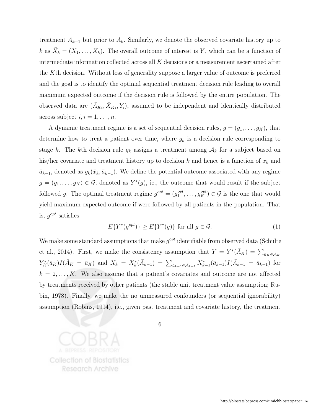treatment  $A_{k-1}$  but prior to  $A_k$ . Similarly, we denote the observed covariate history up to k as  $\bar{X}_k = (X_1, \ldots, X_k)$ . The overall outcome of interest is Y, which can be a function of intermediate information collected across all K decisions or a measurement ascertained after the Kth decision. Without loss of generality suppose a larger value of outcome is preferred and the goal is to identify the optimal sequential treatment decision rule leading to overall maximum expected outcome if the decision rule is followed by the entire population. The observed data are  $(\bar{A}_{Ki}, \bar{X}_{Ki}, Y_i)$ , assumed to be independent and identically distributed across subject  $i, i = 1, \ldots, n$ .

A dynamic treatment regime is a set of sequential decision rules,  $g = (g_1, \ldots, g_K)$ , that determine how to treat a patient over time, where  $g_k$  is a decision rule corresponding to stage k. The kth decision rule  $g_k$  assigns a treatment among  $A_k$  for a subject based on his/her covariate and treatment history up to decision k and hence is a function of  $\bar{x}_k$  and  $\bar{a}_{k-1}$ , denoted as  $g_k(\bar{x}_k, \bar{a}_{k-1})$ . We define the potential outcome associated with any regime  $g = (g_1, \ldots, g_K) \in \mathcal{G}$ , denoted as  $Y^*(g)$ , ie., the outcome that would result if the subject followed g. The optimal treatment regime  $g^{opt} = (g_1^{opt})$  $j_1^{opt}, \ldots, g_K^{opt}$   $\in \mathcal{G}$  is the one that would yield maximum expected outcome if were followed by all patients in the population. That is,  $g^{opt}$  satisfies

$$
E\{Y^*(g^{opt})\} \ge E\{Y^*(g)\} \text{ for all } g \in \mathcal{G}.\tag{1}
$$

We make some standard assumptions that make  $g^{opt}$  identifiable from observed data (Schulte et al., 2014). First, we make the consistency assumption that  $Y = Y^*(\bar{A}_K) = \sum_{\bar{a}_K \in \bar{\mathcal{A}}_K}$  $Y_K^*(\bar{a}_K)I(\bar{A}_K = \bar{a}_K)$  and  $X_k = X_k^*(\bar{A}_{k-1}) = \sum_{\bar{a}_{k-1} \in \bar{A}_{k-1}} X_{k-1}^*(\bar{a}_{k-1})I(\bar{A}_{k-1} = \bar{a}_{k-1})$  for  $k = 2, \ldots, K$ . We also assume that a patient's covariates and outcome are not affected by treatments received by other patients (the stable unit treatment value assumption; Rubin, 1978). Finally, we make the no unmeasured confounders (or sequential ignorability) assumption (Robins, 1994), i.e., given past treatment and covariate history, the treatment

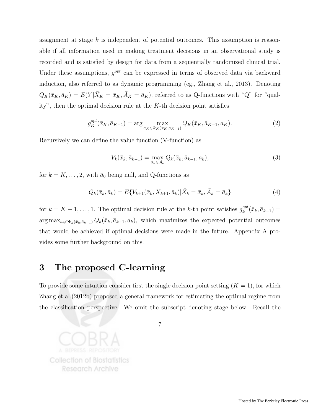assignment at stage  $k$  is independent of potential outcomes. This assumption is reasonable if all information used in making treatment decisions in an observational study is recorded and is satisfied by design for data from a sequentially randomized clinical trial. Under these assumptions,  $g^{opt}$  can be expressed in terms of observed data via backward induction, also referred to as dynamic programming (eg., Zhang et al., 2013). Denoting  $Q_K(\bar{x}_K, \bar{a}_K) = E(Y|\bar{X}_K = \bar{x}_K, \bar{A}_K = \bar{a}_K)$ , referred to as Q-functions with "Q" for "quality", then the optimal decision rule at the  $K$ -th decision point satisfies

$$
g_K^{opt}(\bar{x}_K, \bar{a}_{K-1}) = \arg\max_{a_K \in \Phi_K(\bar{x}_K, \bar{a}_{K-1})} Q_K(\bar{x}_K, \bar{a}_{K-1}, a_K).
$$
 (2)

Recursively we can define the value function (V-function) as

$$
V_k(\bar{x}_k, \bar{a}_{k-1}) = \max_{a_k \in \mathcal{A}_k} Q_k(\bar{x}_k, \bar{a}_{k-1}, a_k),
$$
\n(3)

for  $k = K, \ldots, 2$ , with  $\bar{a}_0$  being null, and Q-functions as

$$
Q_k(\bar{x}_k, \bar{a}_k) = E\{V_{k+1}(\bar{x}_k, X_{k+1}, \bar{a}_k)|\bar{X}_k = \bar{x}_k, \bar{A}_k = \bar{a}_k\}
$$
(4)

for  $k = K - 1, \ldots, 1$ . The optimal decision rule at the k-th point satisfies  $g_k^{opt}$  $\bar{u}_k^{opt}(\bar{x}_k,\bar{a}_{k-1})=$  $\arg \max_{a_k \in \Phi_k(\bar{x}_k, \bar{a}_{k-1})} Q_k(\bar{x}_k, \bar{a}_{k-1}, a_k),$  which maximizes the expected potential outcomes that would be achieved if optimal decisions were made in the future. Appendix A provides some further background on this.

#### 3 The proposed C-learning

To provide some intuition consider first the single decision point setting  $(K = 1)$ , for which Zhang et al.(2012b) proposed a general framework for estimating the optimal regime from the classification perspective. We omit the subscript denoting stage below. Recall the

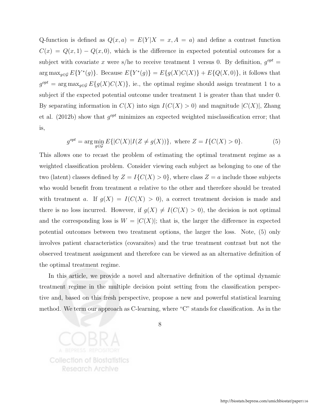Q-function is defined as  $Q(x, a) = E(Y|X = x, A = a)$  and define a contrast function  $C(x) = Q(x, 1) - Q(x, 0)$ , which is the difference in expected potential outcomes for a subject with covariate x were s/he to receive treatment 1 versus 0. By definition,  $g^{opt} =$ arg max<sub>g∈G</sub>  $E\{Y^*(g)\}\$ . Because  $E\{Y^*(g)\}=E\{g(X)C(X)\}+E\{Q(X,0)\}\$ , it follows that  $g^{opt} = \arg \max_{g \in \mathcal{G}} E\{g(X)C(X)\}\$ , ie., the optimal regime should assign treatment 1 to a subject if the expected potential outcome under treatment 1 is greater than that under 0. By separating information in  $C(X)$  into sign  $I(C(X) > 0)$  and magnitude  $|C(X)|$ , Zhang et al. (2012b) show that  $g^{opt}$  minimizes an expected weighted misclassification error; that is,

$$
g^{opt} = \arg\min_{g \in \mathcal{G}} E\{|C(X)|I(Z \neq g(X))\}, \text{ where } Z = I\{C(X) > 0\}. \tag{5}
$$

This allows one to recast the problem of estimating the optimal treatment regime as a weighted classification problem. Consider viewing each subject as belonging to one of the two (latent) classes defined by  $Z = I{C(X) > 0}$ , where class  $Z = a$  include those subjects who would benefit from treatment a relative to the other and therefore should be treated with treatment a. If  $g(X) = I(C(X) > 0)$ , a correct treatment decision is made and there is no loss incurred. However, if  $g(X) \neq I(C(X) > 0)$ , the decision is not optimal and the corresponding loss is  $W = |C(X)|$ ; that is, the larger the difference in expected potential outcomes between two treatment options, the larger the loss. Note, (5) only involves patient characteristics (covaraites) and the true treatment contrast but not the observed treatment assignment and therefore can be viewed as an alternative definition of the optimal treatment regime.

In this article, we provide a novel and alternative definition of the optimal dynamic treatment regime in the multiple decision point setting from the classification perspective and, based on this fresh perspective, propose a new and powerful statistical learning method. We term our approach as C-learning, where "C" stands for classification. As in the

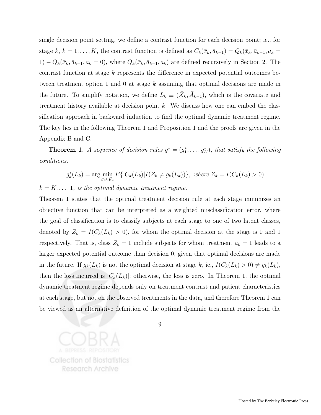single decision point setting, we define a contrast function for each decision point; ie., for stage k,  $k = 1, ..., K$ , the contrast function is defined as  $C_k(\bar{x}_k, \bar{a}_{k-1}) = Q_k(\bar{x}_k, \bar{a}_{k-1}, a_k =$  $1) - Q_k(\bar{x}_k, \bar{a}_{k-1}, a_k = 0)$ , where  $Q_k(\bar{x}_k, \bar{a}_{k-1}, a_k)$  are defined recursively in Section 2. The contrast function at stage k represents the difference in expected potential outcomes between treatment option 1 and 0 at stage k assuming that optimal decisions are made in the future. To simplify notation, we define  $L_k \equiv (\bar{X}_k, \bar{A}_{k-1})$ , which is the covariate and treatment history available at decision point  $k$ . We discuss how one can embed the classification approach in backward induction to find the optimal dynamic treatment regime. The key lies in the following Theorem 1 and Proposition 1 and the proofs are given in the Appendix B and C.

**Theorem 1.** A sequence of decision rules  $g^* = (g_1^*, \ldots, g_K^*)$ , that satisfy the following conditions,

$$
g_k^*(L_k) = \arg\min_{g_k \in \mathcal{G}_k} E\{|C_k(L_k)|I(Z_k \neq g_k(L_k))\}, \text{ where } Z_k = I(C_k(L_k) > 0)
$$

 $k = K, \ldots, 1$ , is the optimal dynamic treatment regime.

Theorem 1 states that the optimal treatment decision rule at each stage minimizes an objective function that can be interpreted as a weighted misclassification error, where the goal of classification is to classify subjects at each stage to one of two latent classes, denoted by  $Z_k = I(C_k(L_k) > 0)$ , for whom the optimal decision at the stage is 0 and 1 respectively. That is, class  $Z_k = 1$  include subjects for whom treatment  $a_k = 1$  leads to a larger expected potential outcome than decision 0, given that optimal decisions are made in the future. If  $g_k(L_k)$  is not the optimal decision at stage k, ie.,  $I(C_k(L_k) > 0) \neq g_k(L_k)$ , then the loss incurred is  $|C_k(L_k)|$ ; otherwise, the loss is zero. In Theorem 1, the optimal dynamic treatment regime depends only on treatment contrast and patient characteristics at each stage, but not on the observed treatments in the data, and therefore Theorem 1 can be viewed as an alternative definition of the optimal dynamic treatment regime from the

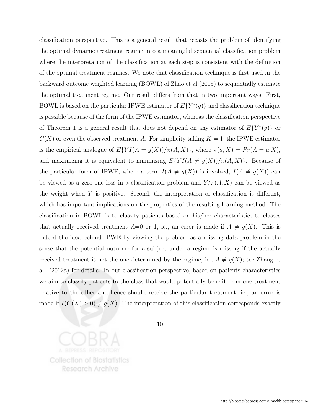classification perspective. This is a general result that recasts the problem of identifying the optimal dynamic treatment regime into a meaningful sequential classification problem where the interpretation of the classification at each step is consistent with the definition of the optimal treatment regimes. We note that classification technique is first used in the backward outcome weighted learning (BOWL) of Zhao et al.(2015) to sequentially estimate the optimal treatment regime. Our result differs from that in two important ways. First, BOWL is based on the particular IPWE estimator of  $E\{Y^*(g)\}\$ and classification technique is possible because of the form of the IPWE estimator, whereas the classification perspective of Theorem 1 is a general result that does not depend on any estimator of  $E{Y^*(g)}$  or  $C(X)$  or even the observed treatment A. For simplicity taking  $K = 1$ , the IPWE estimator is the empirical analogue of  $E\{YI(A = g(X))/\pi(A, X)\}$ , where  $\pi(a, X) = Pr(A = a|X)$ , and maximizing it is equivalent to minimizing  $E\{YI(A \neq g(X))/\pi(A, X)\}\.$  Because of the particular form of IPWE, where a term  $I(A \neq g(X))$  is involved,  $I(A \neq g(X))$  can be viewed as a zero-one loss in a classification problem and  $Y/\pi(A, X)$  can be viewed as the weight when  $Y$  is positive. Second, the interpretation of classification is different, which has important implications on the properties of the resulting learning method. The classification in BOWL is to classify patients based on his/her characteristics to classes that actually received treatment  $A=0$  or 1, ie., an error is made if  $A \neq g(X)$ . This is indeed the idea behind IPWE by viewing the problem as a missing data problem in the sense that the potential outcome for a subject under a regime is missing if the actually received treatment is not the one determined by the regime, ie.,  $A \neq g(X)$ ; see Zhang et al. (2012a) for details. In our classification perspective, based on patients characteristics we aim to classify patients to the class that would potentially benefit from one treatment relative to the other and hence should receive the particular treatment, ie., an error is made if  $I(C(X) > 0) \neq g(X)$ . The interpretation of this classification corresponds exactly

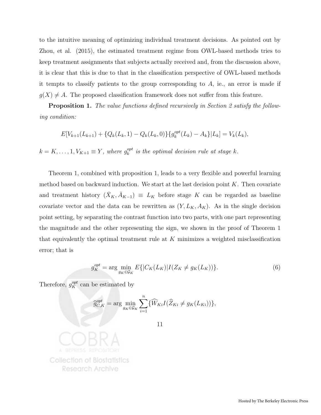to the intuitive meaning of optimizing individual treatment decisions. As pointed out by Zhou, et al. (2015), the estimated treatment regime from OWL-based methods tries to keep treatment assignments that subjects actually received and, from the discussion above, it is clear that this is due to that in the classification perspective of OWL-based methods it tempts to classify patients to the group corresponding to  $A$ , ie., an error is made if  $g(X) \neq A$ . The proposed classification framework does not suffer from this feature.

**Proposition 1.** The value functions defined recursively in Section 2 satisfy the following condition:

$$
E[V_{k+1}(L_{k+1}) + \{Q_k(L_k, 1) - Q_k(L_k, 0)\}\{g_k^{opt}(L_k) - A_k\}|L_k] = V_k(L_k),
$$

 $k = K, \ldots, 1, V_{K+1} \equiv Y$ , where  $g_k^{opt}$  $\mathcal{E}_k^{opt}$  is the optimal decision rule at stage k.

Theorem 1, combined with proposition 1, leads to a very flexible and powerful learning method based on backward induction. We start at the last decision point  $K$ . Then covariate and treatment history  $(\bar{X}_K, \bar{A}_{K-1}) \equiv L_K$  before stage K can be regarded as baseline covariate vector and the data can be rewritten as  $(Y, L_K, A_K)$ . As in the single decision point setting, by separating the contrast function into two parts, with one part representing the magnitude and the other representing the sign, we shown in the proof of Theorem 1 that equivalently the optimal treatment rule at  $K$  minimizes a weighted misclassification error; that is

$$
g_K^{opt} = \arg\min_{g_K \in \mathcal{G}_K} E\{|C_K(L_K)|I(Z_K \neq g_K(L_K))\}.
$$
 (6)

Therefore,  $g_K^{opt}$  can be estimated by

$$
\widehat{g}_{C,K}^{opt} = \arg \min_{g_K \in \mathcal{G}_K} \sum_{i=1}^n \{ \widehat{W}_{Ki} I(\widehat{Z}_{Ki} \neq g_K(L_{Ki})) \},
$$

11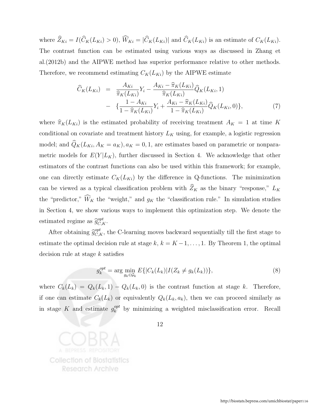where  $\widehat{Z}_{Ki} = I(\widehat{C}_{K}(L_{Ki}) > 0), \widehat{W}_{Ki} = |\widehat{C}_{K}(L_{Ki})|$  and  $\widehat{C}_{K}(L_{Ki})$  is an estimate of  $C_{K}(L_{Ki})$ . The contrast function can be estimated using various ways as discussed in Zhang et al.(2012b) and the AIPWE method has superior performance relative to other methods. Therefore, we recommend estimating  $C_K(L_{Ki})$  by the AIPWE estimate

$$
\widehat{C}_{K}(L_{Ki}) = \frac{A_{Ki}}{\widehat{\pi}_{K}(L_{Ki})} Y_{i} - \frac{A_{Ki} - \widehat{\pi}_{K}(L_{Ki})}{\widehat{\pi}_{K}(L_{Ki})} \widehat{Q}_{K}(L_{Ki}, 1) \n- \{ \frac{1 - A_{Ki}}{1 - \widehat{\pi}_{K}(L_{Ki})} Y_{i} + \frac{A_{Ki} - \widehat{\pi}_{K}(L_{Ki})}{1 - \widehat{\pi}_{K}(L_{Ki})} \widehat{Q}_{K}(L_{Ki}, 0) \},
$$
\n(7)

where  $\widehat{\pi}_K(L_{Ki})$  is the estimated probability of receiving treatment  $A_K = 1$  at time K conditional on covariate and treatment history  $L_K$  using, for example, a logistic regression model; and  $\widehat{Q}_K(L_{Ki}, A_K = a_K), a_K = 0, 1$ , are estimates based on parametric or nonparametric models for  $E(Y|L_K)$ , further discussed in Section 4. We acknowledge that other estimators of the contrast functions can also be used within this framework; for example, one can directly estimate  $C_K(L_{Ki})$  by the difference in Q-functions. The minimization can be viewed as a typical classification problem with  $\widehat{Z}_K$  as the binary "response,"  $L_K$ the "predictor,"  $\widehat{W}_K$  the "weight," and  $g_K$  the "classification rule." In simulation studies in Section 4, we show various ways to implement this optimization step. We denote the estimated regime as  $\widehat{g}_{C,K}^{opt}$ .

After obtaining  $\hat{g}_{C,K}^{opt}$ , the C-learning moves backward sequentially till the first stage to estimate the optimal decision rule at stage k,  $k = K - 1, \ldots, 1$ . By Theorem 1, the optimal decision rule at stage k satisfies

$$
g_k^{opt} = \arg\min_{g_k \in \mathcal{G}_k} E\{|C_k(L_k)|I(Z_k \neq g_k(L_k))\},\tag{8}
$$

where  $C_k(L_k) = Q_k(L_k, 1) - Q_k(L_k, 0)$  is the contrast function at stage k. Therefore, if one can estimate  $C_k(L_k)$  or equivalently  $Q_k(L_k, a_k)$ , then we can proceed similarly as in stage K and estimate  $g_k^{opt}$  $\frac{opt}{k}$  by minimizing a weighted misclassification error. Recall

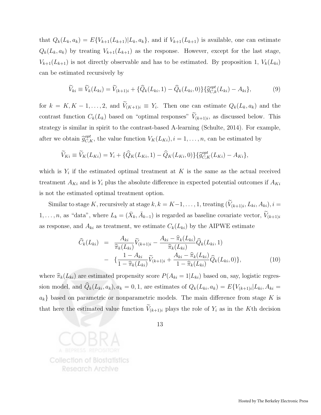that  $Q_k(L_k, a_k) = E\{V_{k+1}(L_{k+1}) | L_k, a_k\}$ , and if  $V_{k+1}(L_{k+1})$  is available, one can estimate  $Q_k(L_k, a_k)$  by treating  $V_{k+1}(L_{k+1})$  as the response. However, except for the last stage,  $V_{k+1}(L_{k+1})$  is not directly observable and has to be estimated. By proposition 1,  $V_k(L_{ki})$ can be estimated recursively by

$$
\widetilde{V}_{ki} \equiv \widetilde{V}_k(L_{ki}) = \widetilde{V}_{(k+1)i} + \{\widehat{Q}_k(L_{ki}, 1) - \widehat{Q}_k(L_{ki}, 0)\}\{\widehat{g}_{C,k}^{opt}(L_{ki}) - A_{ki}\},\tag{9}
$$

for  $k = K, K - 1, \ldots, 2$ , and  $V_{(K+1)i} \equiv Y_i$ . Then one can estimate  $Q_k(L_k, a_k)$  and the contrast function  $C_k(L_k)$  based on "optimal responses"  $V_{(k+1)i}$ , as discussed below. This strategy is similar in spirit to the contrast-based A-learning (Schulte, 2014). For example, after we obtain  $\hat{g}_{C,K}^{opt}$ , the value function  $V_K(L_{Ki}), i = 1, \ldots, n$ , can be estimated by

$$
\widetilde{V}_{Ki} \equiv \widetilde{V}_{K}(L_{Ki}) = Y_i + \{\widehat{Q}_{K}(L_{Ki}, 1) - \widehat{Q}_{K}(L_{Ki}, 0)\}\{\widehat{g}_{C,K}^{opt}(L_{Ki}) - A_{Ki}\},\
$$

which is  $Y_i$  if the estimated optimal treatment at K is the same as the actual received treatment  $A_{Ki}$  and is  $Y_i$  plus the absolute difference in expected potential outcomes if  $A_{Ki}$ is not the estimated optimal treatment option.

Similar to stage K, recursively at stage  $k, k = K-1, \ldots, 1$ , treating  $(V_{(k+1)i}, L_{ki}, A_{ki}), i =$  $1, \ldots, n$ , as "data", where  $L_k = (\bar{X}_k, \bar{A}_{k-1})$  is regarded as baseline covariate vector,  $\widetilde{V}_{(k+1)i}$ as response, and  $A_{ki}$  as treatment, we estimate  $C_k(L_{ki})$  by the AIPWE estimate

$$
\widehat{C}_{k}(L_{ki}) = \frac{A_{ki}}{\widehat{\pi}_{k}(L_{ki})} \widetilde{V}_{(k+1)i} - \frac{A_{ki} - \widehat{\pi}_{k}(L_{ki})}{\widehat{\pi}_{k}(L_{ki})} \widehat{Q}_{k}(L_{ki}, 1) \n- \{ \frac{1 - A_{ki}}{1 - \widehat{\pi}_{k}(L_{ki})} \widetilde{V}_{(k+1)i} + \frac{A_{ki} - \widehat{\pi}_{k}(L_{ki})}{1 - \widehat{\pi}_{k}(L_{ki})} \widehat{Q}_{k}(L_{ki}, 0) \},
$$
\n(10)

where  $\widehat{\pi}_k(L_{ki})$  are estimated propensity score  $P(A_{ki} = 1|L_{ki})$  based on, say, logistic regression model, and  $Q_k(L_{ki}, a_k)$ ,  $a_k = 0, 1$ , are estimates of  $Q_k(L_{ki}, a_k) = E\{V_{(k+1)i}|L_{ki}, A_{ki} =$  $a_k$  based on parametric or nonparametric models. The main difference from stage K is that here the estimated value function  $V_{(k+1)i}$  plays the role of  $Y_i$  as in the Kth decision

**Collection of Biostatistics Research Archive**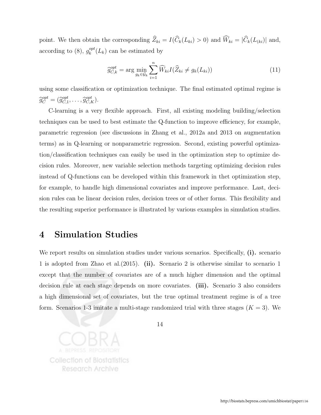point. We then obtain the corresponding  $\widehat{Z}_{ki} = I(\widehat{C}_k(L_{ki}) > 0)$  and  $\widehat{W}_{ki} = |\widehat{C}_k(L_{(ki)})|$  and, according to (8),  $g_k^{opt}$  $k^{\text{opt}}(L_k)$  can be estimated by

$$
\widehat{g}_{C,k}^{opt} = \arg\min_{g_k \in \mathcal{G}_k} \sum_{i=1}^n \widehat{W}_{ki} I(\widehat{Z}_{ki} \neq g_k(L_{ki})) \tag{11}
$$

using some classification or optimization technique. The final estimated optimal regime is  $\widehat{g}_C^{opt} = (\widehat{g}_{C,1}^{opt})$  ${}_{C,1}^{opt}, \ldots, \widehat{g}_{C,K}^{opt}$ ).

C-learning is a very flexible approach. First, all existing modeling building/selection techniques can be used to best estimate the Q-function to improve efficiency, for example, parametric regression (see discussions in Zhang et al., 2012a and 2013 on augmentation terms) as in Q-learning or nonparametric regression. Second, existing powerful optimization/classification techniques can easily be used in the optimization step to optimize decision rules. Moreover, new variable selection methods targeting optimizing decision rules instead of Q-functions can be developed within this framework in thet optimization step, for example, to handle high dimensional covariates and improve performance. Last, decision rules can be linear decision rules, decision trees or of other forms. This flexibility and the resulting superior performance is illustrated by various examples in simulation studies.

#### 4 Simulation Studies

We report results on simulation studies under various scenarios. Specifically, (i). scenario 1 is adopted from Zhao et al.(2015). (ii). Scenario 2 is otherwise similar to scenario 1 except that the number of covariates are of a much higher dimension and the optimal decision rule at each stage depends on more covariates. (iii). Scenario 3 also considers a high dimensional set of covariates, but the true optimal treatment regime is of a tree form. Scenarios 1-3 imitate a multi-stage randomized trial with three stages  $(K = 3)$ . We

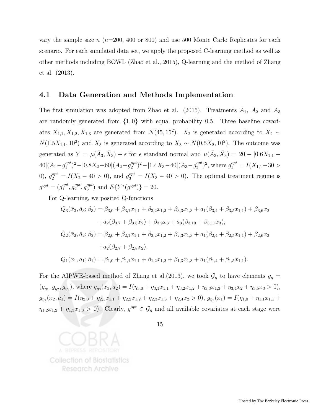vary the sample size  $n$  ( $n=200, 400$  or 800) and use 500 Monte Carlo Replicates for each scenario. For each simulated data set, we apply the proposed C-learning method as well as other methods including BOWL (Zhao et al., 2015), Q-learning and the method of Zhang et al. (2013).

#### 4.1 Data Generation and Methods Implementation

The first simulation was adopted from Zhao et al. (2015). Treatments  $A_1$ ,  $A_2$  and  $A_3$ are randomly generated from  $\{1, 0\}$  with equal probability 0.5. Three baseline covariates  $X_{1,1}, X_{1,2}, X_{1,3}$  are generated from  $N(45, 15^2)$ .  $X_2$  is generated according to  $X_2 \sim$  $N(1.5X_{1,1}, 10^2)$  and  $X_3$  is generated according to  $X_3 \sim N(0.5X_2, 10^2)$ . The outcome was generated as  $Y = \mu(\bar{A}_3, \bar{X}_3) + \epsilon$  for  $\epsilon$  standard normal and  $\mu(\bar{A}_3, \bar{X}_3) = 20 - 0.6X_{1,1}$  $40|(A_1 - g_1^{opt})$  $1^{opt}$ <sup>2</sup> –  $|0.8X_2-60|$  (A<sub>2</sub> –  $g_2^{opt}$  $\binom{opt}{2}$ <sup>2</sup>-|1.4X<sub>3</sub>-40|(A<sub>3</sub>-g<sup>opt</sup>)<sup>2</sup>  $j_3^{opt}$ )<sup>2</sup>, where  $g_1^{opt} = I(X_{1,1} - 30 >$ 0),  $g_2^{opt} = I(X_2 - 40 > 0)$ , and  $g_3^{opt} = I(X_3 - 40 > 0)$ . The optimal treatment regime is  $g^{opt} = (g_1^{opt})$  $g_1^{opt}, g_2^{opt}$  $e^{opt}_{2}, g^{opt}_{3}$  $_3^{opt}$ ) and  $E\{Y^*(g^{opt})\}=20$ .

For Q-learning, we posited Q-functions

$$
Q_3(\bar{x}_3, \bar{a}_3; \beta_3) = \beta_{3,0} + \beta_{3,1}x_{1,1} + \beta_{3,2}x_{1,2} + \beta_{3,3}x_{1,3} + a_1(\beta_{3,4} + \beta_{3,5}x_{1,1}) + \beta_{3,6}x_2
$$
  
+
$$
a_2(\beta_{3,7} + \beta_{3,8}x_2) + \beta_{3,9}x_3 + a_3(\beta_{3,10} + \beta_{3,11}x_3),
$$
  

$$
Q_2(\bar{x}_2, \bar{a}_2; \beta_2) = \beta_{2,0} + \beta_{2,1}x_{1,1} + \beta_{2,2}x_{1,2} + \beta_{2,3}x_{1,3} + a_1(\beta_{2,4} + \beta_{2,5}x_{1,1}) + \beta_{2,6}x_2
$$
  
+
$$
a_2(\beta_{2,7} + \beta_{2,8}x_2),
$$
  

$$
Q_1(x_1, a_1; \beta_1) = \beta_{1,0} + \beta_{1,1}x_{1,1} + \beta_{1,2}x_{1,2} + \beta_{1,3}x_{1,3} + a_1(\beta_{1,4} + \beta_{1,5}x_{1,1}).
$$

For the AIPWE-based method of Zhang et al. (2013), we took  $\mathcal{G}_{\eta}$  to have elements  $g_{\eta}$  =  $(g_{\eta_1}, g_{\eta_2}, g_{\eta_3}),$  where  $g_{\eta_3}(\bar{x}_3, \bar{a}_2) = I(\eta_{3,0} + \eta_{3,1}x_{1,1} + \eta_{3,2}x_{1,2} + \eta_{3,3}x_{1,3} + \eta_{3,4}x_2 + \eta_{3,5}x_3 > 0),$  $g_{\eta_2}(\bar{x}_2, a_1) = I(\eta_{2,0} + \eta_{2,1}x_{1,1} + \eta_{2,2}x_{1,2} + \eta_{2,3}x_{1,3} + \eta_{2,4}x_2 > 0), g_{\eta_1}(x_1) = I(\eta_{1,0} + \eta_{1,1}x_{1,1} +$  $\eta_{1,2}x_{1,2} + \eta_{1,3}x_{1,3} > 0$ . Clearly,  $g^{opt} \in \mathcal{G}_{\eta}$  and all available covariates at each stage were

**Collection of Biostatistics** Research Archive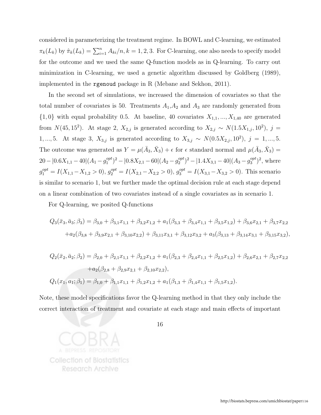considered in parameterizing the treatment regime. In BOWL and C-learning, we estimated  $\pi_k(L_k)$  by  $\hat{\pi}_k(L_k) = \sum_{i=1}^n A_{ki}/n, k = 1, 2, 3$ . For C-learning, one also needs to specify model for the outcome and we used the same Q-function models as in Q-learning. To carry out minimization in C-learning, we used a genetic algorithm discussed by Goldberg (1989), implemented in the rgenoud package in R (Mebane and Sekhon, 2011).

In the second set of simulations, we increased the dimension of covariates so that the total number of covariates is 50. Treatments  $A_1, A_2$  and  $A_3$  are randomly generated from  $\{1,0\}$  with equal probability 0.5. At baseline, 40 covariates  $X_{1,1},..., X_{1,40}$  are generated from  $N(45, 15^2)$ . At stage 2,  $X_{2,j}$  is generated according to  $X_{2,j} \sim N(1.5X_{1,j}, 10^2)$ ,  $j =$ 1, ..., 5. At stage 3,  $X_{3,j}$  is generated according to  $X_{3,j} \sim N(0.5X_{2,j}, 10^2)$ ,  $j = 1, ..., 5$ . The outcome was generated as  $Y = \mu(\bar{A}_3, \bar{X}_3) + \epsilon$  for  $\epsilon$  standard normal and  $\mu(\bar{A}_3, \bar{X}_3) =$  $20 - |0.6X_{1,1} - 40| (A_1 - g_1^{opt})$  $1^{opt}$ )<sup>2</sup> -  $|0.8X_{2,1}$  - 60 $|(A_2 - g_2^{opt})$  $\binom{opt}{2}$  –  $|1.4X_{3,1} - 40|$  ( $A_3 - g_3^{opt}$  $_3^{opt}$  $)^2$ , where  $g_1^{opt} = I(X_{1,1} - X_{1,2} > 0), g_2^{opt} = I(X_{2,1} - X_{2,2} > 0), g_3^{opt} = I(X_{3,1} - X_{3,2} > 0).$  This scenario is similar to scenario 1, but we further made the optimal decision rule at each stage depend on a linear combination of two covariates instead of a single covariates as in scenario 1.

For Q-learning, we posited Q-functions

$$
Q_3(\bar{x}_3, \bar{a}_3; \beta_3) = \beta_{3,0} + \beta_{3,1}x_{1,1} + \beta_{3,2}x_{1,2} + a_1(\beta_{3,3} + \beta_{3,4}x_{1,1} + \beta_{3,5}x_{1,2}) + \beta_{3,6}x_{2,1} + \beta_{3,7}x_{2,2}
$$
  
+
$$
a_2(\beta_{3,8} + \beta_{3,9}x_{2,1} + \beta_{3,10}x_{2,2}) + \beta_{3,11}x_{3,1} + \beta_{3,12}x_{3,2} + a_3(\beta_{3,13} + \beta_{3,14}x_{3,1} + \beta_{3,15}x_{3,2}),
$$

$$
Q_2(\bar{x}_2, \bar{a}_2; \beta_2) = \beta_{2,0} + \beta_{2,1}x_{1,1} + \beta_{2,2}x_{1,2} + a_1(\beta_{2,3} + \beta_{2,4}x_{1,1} + \beta_{2,5}x_{1,2}) + \beta_{2,6}x_{2,1} + \beta_{2,7}x_{2,2}
$$
  
+
$$
a_2(\beta_{2,8} + \beta_{2,9}x_{2,1} + \beta_{2,10}x_{2,2}),
$$
  

$$
Q_1(x_1, a_1; \beta_1) = \beta_{1,0} + \beta_{1,1}x_{1,1} + \beta_{1,2}x_{1,2} + a_1(\beta_{1,3} + \beta_{1,4}x_{1,1} + \beta_{1,5}x_{1,2}).
$$

Note, these model specifications favor the Q-learning method in that they only include the correct interaction of treatment and covariate at each stage and main effects of important

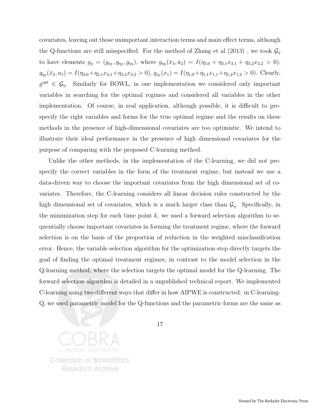covariates, leaving out those unimportant interaction terms and main effect terms, although the Q-functions are still misspecified. For the method of Zhang et al  $(2013)$ , we took  $\mathcal{G}_{\eta}$ to have elements  $g_{\eta} = (g_{\eta_1}, g_{\eta_2}, g_{\eta_3})$ , where  $g_{\eta_3}(\bar{x}_3, \bar{a}_2) = I(\eta_{3,0} + \eta_{3,1}x_{3,1} + \eta_{3,2}x_{3,2} > 0)$ ,  $g_{\eta_2}(\bar{x}_2, a_1) = I(\eta_{2,0} + \eta_{2,1}x_{2,1} + \eta_{2,2}x_{2,2} > 0), g_{\eta_1}(x_1) = I(\eta_{1,0} + \eta_{1,1}x_{1,1} + \eta_{1,2}x_{1,2} > 0).$  Clearly,  $g^{opt} \in \mathcal{G}_\eta$ . Similarly for BOWL, in one implementation we considered only important variables in searching for the optimal regimes and considered all variables in the other implementation. Of course, in real application, although possible, it is difficult to prespecify the right variables and forms for the true optimal regime and the results on these methods in the presence of high-dimensional covariates are too optimistic. We intend to illustrate their ideal performance in the presence of high dimensional covariates for the purpose of comparing with the proposed C-learning method.

Unlike the other methods, in the implementation of the C-learning, we did not prespecify the correct variables in the form of the treatment regime, but instead we use a data-driven way to choose the important covariates from the high dimensional set of covariates. Therefore, the C-learning considers all linear decision rules constructed by the high dimensional set of covariates, which is a much larger class than  $\mathcal{G}_{\eta}$ . Specifically, in the minimization step for each time point  $k$ , we used a forward selection algorithm to sequentially choose important covariates in forming the treatment regime, where the forward selection is on the basis of the proportion of reduction in the weighted misclassification error. Hence, the variable selection algorithm for the optimization step directly targets the goal of finding the optimal treatment regimes, in contrast to the model selection in the Q-learning method, where the selection targets the optimal model for the Q-learning. The forward selection algorithm is detailed in a unpublished technical report. We implemented C-learning using two different ways that differ in how AIPWE is constructed: in C-learning-Q, we used parametric model for the Q-functions and the parametric forms are the same as

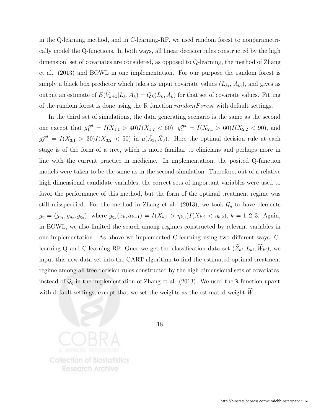in the Q-learning method, and in C-learning-RF, we used random forest to nonparametrically model the Q-functions. In both ways, all linear decision rules constructed by the high dimensionl set of covariates are considered, as opposed to Q-learning, the method of Zhang et al. (2013) and BOWL in one implementation. For our purpose the random forest is simply a black box predictor which takes as input covariate values  $(L_{ki}, A_{ki})$ , and gives as output an estimate of  $E(\widetilde{V}_{k+1}|L_k, A_k) = Q_k(L_k, A_k)$  for that set of covariate values. Fitting of the random forest is done using the R function *randomForest* with default settings.

In the third set of simulations, the data generating scenario is the same as the second one except that  $g_1^{opt} = I(X_{1,1} > 40)I(X_{1,2} < 60), g_2^{opt} = I(X_{2,1} > 60)I(X_{2,2} < 90)$ , and  $g_3^{opt} = I(X_{3,1} > 30)I(X_{3,2} < 50)$  in  $\mu(\bar{A}_3, \bar{X}_3)$ . Here the optimal decision rule at each stage is of the form of a tree, which is more familiar to clinicians and perhaps more in line with the current practice in medicine. In implementation, the posited Q-function models were taken to be the same as in the second simulation. Therefore, out of a relative high dimensional candidate variables, the correct sets of important variables were used to favor the performance of this method, but the form of the optimal treatment regime was still misspecified. For the method in Zhang et al. (2013), we took  $\mathcal{G}_{\eta}$  to have elements  $g_{\eta} = (g_{\eta_1}, g_{\eta_2}, g_{\eta_3}),$  where  $g_{\eta_k}(\bar{x}_k, \bar{a}_{k-1}) = I(X_{k,1} > \eta_{k,1})I(X_{k,2} < \eta_{k,2}), k = 1, 2, 3$ . Again, in BOWL, we also limited the search among regimes constructed by relevant variables in one implementation. As above we implemented C-learning using two different ways, Clearning-Q and C-learning-RF. Once we get the classification data set  $(\widehat{Z}_{ki}, L_{ki}, \widehat{W}_{ki})$ , we input this new data set into the CART algorithm to find the estimated optimal treatment regime among all tree decision rules constructed by the high dimensional sets of covariates, instead of  $\mathcal{G}_{\eta}$  in the implementation of Zhang et al. (2013). We used the R function rpart with default settings, except that we set the weights as the estimated weight  $\widehat{W}$ .

**Collection of Biostatistics Research Archive**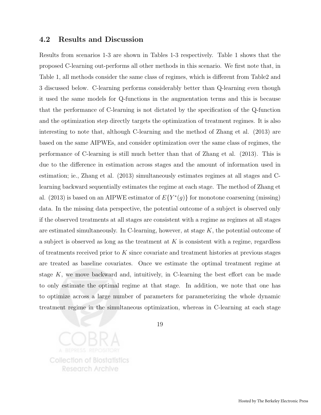#### 4.2 Results and Discussion

Results from scenarios 1-3 are shown in Tables 1-3 respectively. Table 1 shows that the proposed C-learning out-performs all other methods in this scenario. We first note that, in Table 1, all methods consider the same class of regimes, which is different from Table2 and 3 discussed below. C-learning performs considerably better than Q-learning even though it used the same models for Q-functions in the augmentation terms and this is because that the performance of C-learning is not dictated by the specification of the Q-function and the optimization step directly targets the optimization of treatment regimes. It is also interesting to note that, although C-learning and the method of Zhang et al. (2013) are based on the same AIPWEs, and consider optimization over the same class of regimes, the performance of C-learning is still much better than that of Zhang et al. (2013). This is due to the difference in estimation across stages and the amount of information used in estimation; ie., Zhang et al. (2013) simultaneously estimates regimes at all stages and Clearning backward sequentially estimates the regime at each stage. The method of Zhang et al. (2013) is based on an AIPWE estimator of  $E\{Y^*(g)\}\$ for monotone coarsening (missing) data. In the missing data perspective, the potential outcome of a subject is observed only if the observed treatments at all stages are consistent with a regime as regimes at all stages are estimated simultaneously. In C-learning, however, at stage  $K$ , the potential outcome of a subject is observed as long as the treatment at  $K$  is consistent with a regime, regardless of treatments received prior to  $K$  since covariate and treatment histories at previous stages are treated as baseline covariates. Once we estimate the optimal treatment regime at stage  $K$ , we move backward and, intuitively, in C-learning the best effort can be made to only estimate the optimal regime at that stage. In addition, we note that one has to optimize across a large number of parameters for parameterizing the whole dynamic treatment regime in the simultaneous optimization, whereas in C-learning at each stage

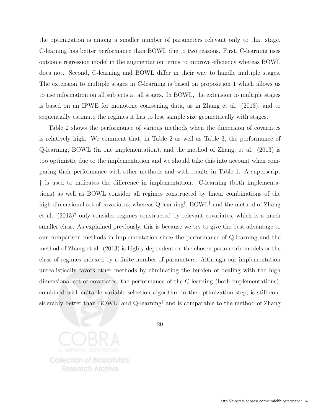the optimization is among a smaller number of parameters relevant only to that stage. C-learning has better performance than BOWL due to two reasons. First, C-learning uses outcome regression model in the augmentation terms to improve efficiency whereas BOWL does not. Second, C-learning and BOWL differ in their way to handle multiple stages. The extension to multiple stages in C-learning is based on proposition 1 which allows us to use information on all subjects at all stages. In BOWL, the extension to multiple stages is based on an IPWE for monotone coarsening data, as in Zhang et al. (2013), and to sequentially estimate the regimes it has to lose sample size geometrically with stages.

Table 2 shows the performance of various methods when the dimension of covariates is relatively high. We comment that, in Table 2 as well as Table 3, the performance of Q-learning, BOWL (in one implementation), and the method of Zhang, et al. (2013) is too optimistic due to the implementation and we should take this into account when comparing their performance with other methods and with results in Table 1. A superscript † is used to indicates the difference in implementation. C-learning (both implementations) as well as BOWL consider all regimes constructed by linear combinations of the high dimensional set of covariates, whereas Q-learning<sup>†</sup>, BOWL<sup>†</sup> and the method of Zhang et al.  $(2013)^{\dagger}$  only consider regimes constructed by relevant covariates, which is a much smaller class. As explained previously, this is because we try to give the best advantage to our comparison methods in implementation since the performance of Q-learning and the method of Zhang et al. (2013) is highly dependent on the chosen parametric models or the class of regimes indexed by a finite number of parameters. Although our implementation unrealistically favors other methods by eliminating the burden of dealing with the high dimensional set of covariates, the performance of the C-learning (both implementations), combined with suitable variable selection algorithm in the optimization step, is still considerably better than BOWL<sup>†</sup> and Q-learning<sup>†</sup> and is comparable to the method of Zhang

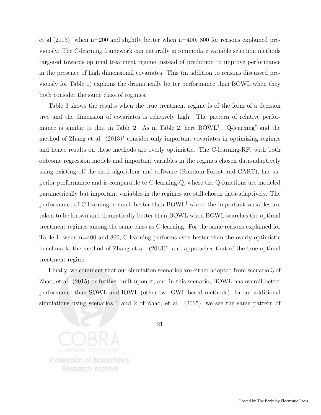et al. $(2013)^{\dagger}$  when n=200 and slightly better when n=400, 800 for reasons explained previously. The C-learning framework can naturally accommodate variable selection methods targeted towards optimal treatment regime instead of prediction to improve performance in the presence of high dimensional covariates. This (in addition to reasons discussed previously for Table 1) explains the dramatically better performance than BOWL when they both consider the same class of regimes.

Table 3 shows the results when the true treatment regime is of the form of a decision tree and the dimension of covariates is relatively high. The pattern of relative performance is similar to that in Table 2. As in Table 2, here BOWL† , Q-learning† and the method of Zhang et al. (2013)† consider only important covariates in optimizing regimes and hence results on these methods are overly optimistic. The C-learning-RF, with both outcome regression models and important variables in the regimes chosen data-adaptively using existing off-the-shelf algorithms and software (Random Forest and CART), has superior performance and is comparable to C-learning-Q, where the Q-functions are modeled parametrically but important variables in the regimes are still chosen data-adaptively. The performance of C-learning is much better than BOWL† where the important variables are taken to be known and dramatically better than BOWL when BOWL searches the optimal treatment regimes among the same class as C-learning. For the same reasons explained for Table 1, when n=400 and 800, C-learning performs even better than the overly optimistic benchmark, the method of Zhang et al.  $(2013)^{\dagger}$ , and approaches that of the true optimal treatment regime.

Finally, we comment that our simulation scenarios are either adopted from scenario 3 of Zhao, et al. (2015) or further built upon it, and in this scenario, BOWL has overall better performance than SOWL and IOWL (other two OWL-based methods). In our additional simulations using scenarios 1 and 2 of Zhao, et al. (2015), we see the same pattern of

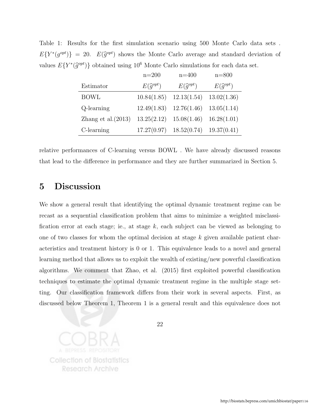Table 1: Results for the first simulation scenario using 500 Monte Carlo data sets .  $E\{Y^*(g^{opt})\} = 20$ .  $E(\hat{g}^{opt})$  shows the Monte Carlo average and standard deviation of values  $E\{Y^*(\hat{g}^{opt})\}$  obtained using  $10^6$  Monte Carlo simulations for each data set.

|                       | $n = 200$              | $n = 400$              | $n = 800$              |
|-----------------------|------------------------|------------------------|------------------------|
| Estimator             | $E(\widehat{q}^{opt})$ | $E(\widehat{g}^{opt})$ | $E(\widehat{g}^{opt})$ |
| <b>BOWL</b>           | 10.84(1.85)            | 12.13(1.54)            | 13.02(1.36)            |
| Q-learning            | 12.49(1.83)            | 12.76(1.46)            | 13.05(1.14)            |
| Zhang et al. $(2013)$ | 13.25(2.12)            | 15.08(1.46)            | 16.28(1.01)            |
| C-learning            | 17.27(0.97)            | 18.52(0.74)            | 19.37(0.41)            |

relative performances of C-learning versus BOWL . We have already discussed reasons that lead to the difference in performance and they are further summarized in Section 5.

### 5 Discussion

We show a general result that identifying the optimal dynamic treatment regime can be recast as a sequential classification problem that aims to minimize a weighted misclassification error at each stage; ie., at stage  $k$ , each subject can be viewed as belonging to one of two classes for whom the optimal decision at stage  $k$  given available patient characteristics and treatment history is 0 or 1. This equivalence leads to a novel and general learning method that allows us to exploit the wealth of existing/new powerful classification algorithms. We comment that Zhao, et al. (2015) first exploited powerful classification techniques to estimate the optimal dynamic treatment regime in the multiple stage setting. Our classification framework differs from their work in several aspects. First, as discussed below Theorem 1, Theorem 1 is a general result and this equivalence does not

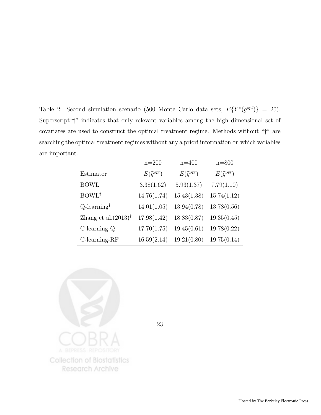Table 2: Second simulation scenario (500 Monte Carlo data sets,  $E\{Y^*(g^{opt})\} = 20$ ). Superscript"†" indicates that only relevant variables among the high dimensional set of covariates are used to construct the optimal treatment regime. Methods without "†" are searching the optimal treatment regimes without any a priori information on which variables are important.

|                                 | $n=200$                | $n = 400$              | $n = 800$              |
|---------------------------------|------------------------|------------------------|------------------------|
| Estimator                       | $E(\widehat{g}^{opt})$ | $E(\widehat{g}^{opt})$ | $E(\widehat{g}^{opt})$ |
| <b>BOWL</b>                     | 3.38(1.62)             | 5.93(1.37)             | 7.79(1.10)             |
| BOWL <sup>†</sup>               | 14.76(1.74)            | 15.43(1.38)            | 15.74(1.12)            |
| $Q$ -learning <sup>†</sup>      | 14.01(1.05)            | 13.94(0.78)            | 13.78(0.56)            |
| Zhang et al. $(2013)^{\dagger}$ | 17.98(1.42)            | 18.83(0.87)            | 19.35(0.45)            |
| $C$ -learning- $Q$              | 17.70(1.75)            | 19.45(0.61)            | 19.78(0.22)            |
| $C$ -learning-RF                | 16.59(2.14)            | 19.21(0.80)            | 19.75(0.14)            |

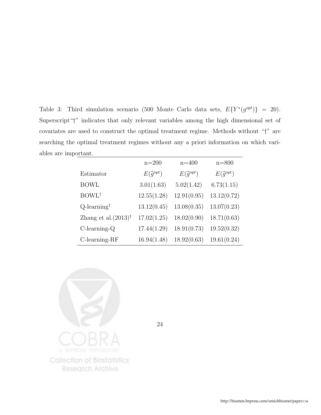Table 3: Third simulation scenario (500 Monte Carlo data sets,  $E\{Y^*(g^{opt})\} = 20$ ). Superscript"†" indicates that only relevant variables among the high dimensional set of covariates are used to construct the optimal treatment regime. Methods without "†" are searching the optimal treatment regimes without any a priori information on which variables are important.

|                                 | $n=200$                | $n = 400$              | $n = 800$              |
|---------------------------------|------------------------|------------------------|------------------------|
| Estimator                       | $E(\widehat{g}^{opt})$ | $E(\widehat{g}^{opt})$ | $E(\widehat{g}^{opt})$ |
| <b>BOWL</b>                     | 3.01(1.63)             | 5.02(1.42)             | 6.73(1.15)             |
| BOWL <sup>†</sup>               | 12.55(1.28)            | 12.91(0.95)            | 13.12(0.72)            |
| $Q$ -learning <sup>†</sup>      | 13.12(0.45)            | 13.08(0.35)            | 13.07(0.23)            |
| Zhang et al. $(2013)^{\dagger}$ | 17.02(1.25)            | 18.02(0.90)            | 18.71(0.63)            |
| $C$ -learning- $Q$              | 17.44(1.29)            | 18.91(0.73)            | 19.52(0.32)            |
| $C$ -learning-RF                | 16.94(1.48)            | 18.92(0.63)            | 19.61(0.24)            |

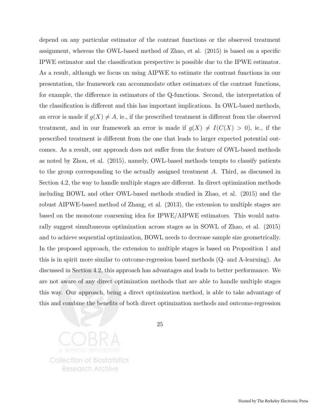depend on any particular estimator of the contrast functions or the observed treatment assignment, whereas the OWL-based method of Zhao, et al. (2015) is based on a specific IPWE estimator and the classification perspective is possible due to the IPWE estimator. As a result, although we focus on using AIPWE to estimate the contrast functions in our presentation, the framework can accommodate other estimators of the contrast functions, for example, the difference in estimators of the Q-functions. Second, the interpretation of the classification is different and this has important implications. In OWL-based methods, an error is made if  $g(X) \neq A$ , ie., if the prescribed treatment is different from the observed treatment, and in our framework an error is made if  $g(X) \neq I(C(X) > 0)$ , ie., if the prescribed treatment is different from the one that leads to larger expected potential outcomes. As a result, our approach does not suffer from the feature of OWL-based methods as noted by Zhou, et al. (2015), namely, OWL-based methods tempts to classify patients to the group corresponding to the actually assigned treatment A. Third, as discussed in Section 4.2, the way to handle multiple stages are different. In direct optimization methods including BOWL and other OWL-based methods studied in Zhao, et al. (2015) and the robust AIPWE-based method of Zhang, et al. (2013), the extension to multiple stages are based on the monotone coarsening idea for IPWE/AIPWE estimators. This would naturally suggest simultaneous optimization across stages as in SOWL of Zhao, et al. (2015) and to achieve sequential optimization, BOWL needs to decrease sample size geometrically. In the proposed approach, the extension to multiple stages is based on Proposition 1 and this is in spirit more similar to outcome-regression based methods (Q- and A-learning). As discussed in Section 4.2, this approach has advantages and leads to better performance. We are not aware of any direct optimization methods that are able to handle multiple stages this way. Our approach, being a direct optimization method, is able to take advantage of this and combine the benefits of both direct optimization methods and outcome-regression

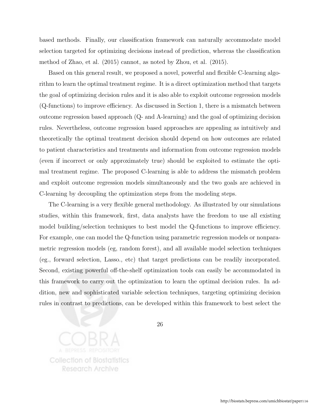based methods. Finally, our classification framework can naturally accommodate model selection targeted for optimizing decisions instead of prediction, whereas the classification method of Zhao, et al. (2015) cannot, as noted by Zhou, et al. (2015).

Based on this general result, we proposed a novel, powerful and flexible C-learning algorithm to learn the optimal treatment regime. It is a direct optimization method that targets the goal of optimizing decision rules and it is also able to exploit outcome regression models (Q-functions) to improve efficiency. As discussed in Section 1, there is a mismatch between outcome regression based approach (Q- and A-learning) and the goal of optimizing decision rules. Nevertheless, outcome regression based approaches are appealing as intuitively and theoretically the optimal treatment decision should depend on how outcomes are related to patient characteristics and treatments and information from outcome regression models (even if incorrect or only approximately true) should be exploited to estimate the optimal treatment regime. The proposed C-learning is able to address the mismatch problem and exploit outcome regression models simultaneously and the two goals are achieved in C-learning by decoupling the optimization steps from the modeling steps.

The C-learning is a very flexible general methodology. As illustrated by our simulations studies, within this framework, first, data analysts have the freedom to use all existing model building/selection techniques to best model the Q-functions to improve efficiency. For example, one can model the Q-function using parametric regression models or nonparametric regression models (eg, random forest), and all available model selection techniques (eg., forward selection, Lasso., etc) that target predictions can be readily incorporated. Second, existing powerful off-the-shelf optimization tools can easily be accommodated in this framework to carry out the optimization to learn the optimal decision rules. In addition, new and sophisticated variable selection techniques, targeting optimizing decision rules in contrast to predictions, can be developed within this framework to best select the

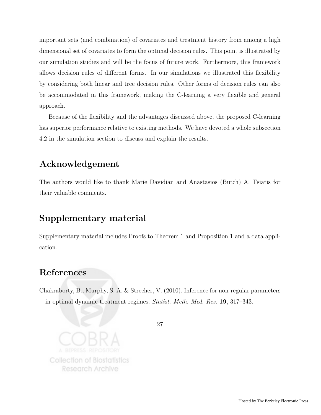important sets (and combination) of covariates and treatment history from among a high dimensional set of covariates to form the optimal decision rules. This point is illustrated by our simulation studies and will be the focus of future work. Furthermore, this framework allows decision rules of different forms. In our simulations we illustrated this flexibility by considering both linear and tree decision rules. Other forms of decision rules can also be accommodated in this framework, making the C-learning a very flexible and general approach.

Because of the flexibility and the advantages discussed above, the proposed C-learning has superior performance relative to existing methods. We have devoted a whole subsection 4.2 in the simulation section to discuss and explain the results.

### Acknowledgement

The authors would like to thank Marie Davidian and Anastasios (Butch) A. Tsiatis for their valuable comments.

### Supplementary material

Supplementary material includes Proofs to Theorem 1 and Proposition 1 and a data application.

### References

Chakraborty, B., Murphy, S. A. & Strecher, V. (2010). Inference for non-regular parameters in optimal dynamic treatment regimes. Statist. Meth. Med. Res. 19, 317–343.

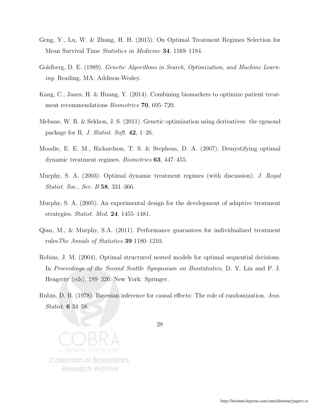- Geng, Y., Lu, W. & Zhang, H. H. (2015). On Optimal Treatment Regimes Selection for Mean Survival Time Statistics in Medicine 34, 1169–1184.
- Goldberg, D. E. (1989). *Genetic Algorithms in Search, Optimization, and Machine Learn*ing. Reading, MA: Addison-Wesley.
- Kang, C., Janes, H. & Huang, Y. (2014). Combining biomarkers to optimize patient treatment recommendations *Biometrics* **70**, 695–720.
- Mebane, W. R. & Sekhon, J. S. (2011). Genetic optimization using derivatives: the rgenoud package for R. J. Statist. Soft.  $42$ , 1–26.
- Moodie, E. E. M., Richardson, T. S. & Stephens, D. A. (2007). Demystifying optimal dynamic treatment regimes. Biometrics 63, 447–455.
- Murphy, S. A. (2003). Optimal dynamic treatment regimes (with discussion). J. Royal Statist. Soc., Ser. B 58, 331–366.
- Murphy, S. A. (2005). An experimental design for the development of adaptive treatment strategies. Statist. Med. 24, 1455–1481.
- Qian, M., & Murphy, S.A. (2011). Performance guarantees for individualized treatment rulesThe Annals of Statistics 39 1180–1210.
- Robins, J. M. (2004). Optimal structured nested models for optimal sequential decisions. In Proceedings of the Second Seattle Symposium on Biostatistics, D. Y. Lin and P. J. Heagerty (eds), 189–326. New York: Springer.
- Rubin, D. B. (1978). Bayesian inference for causal effects: The role of randomization. Ann. Statist. 6 34–58.

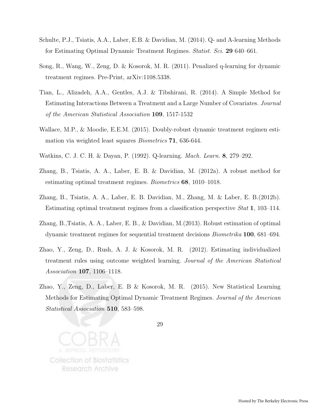- Schulte, P.J., Tsiatis, A.A., Laber, E.B. & Davidian, M. (2014). Q- and A-learning Methods for Estimating Optimal Dynamic Treatment Regimes. Statist. Sci. 29 640–661.
- Song, R., Wang, W., Zeng, D. & Kosorok, M. R. (2011). Penalized q-learning for dynamic treatment regimes. Pre-Print, arXiv:1108.5338.
- Tian, L., Alizadeh, A.A., Gentles, A.J. & Tibshirani, R. (2014). A Simple Method for Estimating Interactions Between a Treatment and a Large Number of Covariates. Journal of the American Statistical Association 109, 1517-1532
- Wallace, M.P., & Moodie, E.E.M. (2015). Doubly-robust dynamic treatment regimen estimation via weighted least squares *Biometrics* **71**, 636-644.
- Watkins, C. J. C. H. & Dayan, P. (1992). Q-learning. Mach. Learn. 8, 279–292.
- Zhang, B., Tsiatis, A. A., Laber, E. B. & Davidian, M. (2012a). A robust method for estimating optimal treatment regimes. Biometrics 68, 1010–1018.
- Zhang, B., Tsiatis, A. A., Laber, E. B. Davidian, M., Zhang, M. & Laber, E. B.(2012b). Estimating optimal treatment regimes from a classification perspective Stat 1, 103–114.
- Zhang, B.,Tsiatis, A. A., Laber, E. B., & Davidian, M.(2013). Robust estimation of optimal dynamic treatment regimes for sequential treatment decisions Biometrika 100, 681–694.
- Zhao, Y., Zeng, D., Rush, A. J. & Kosorok, M. R. (2012). Estimating individualized treatment rules using outcome weighted learning. Journal of the American Statistical Association 107, 1106–1118.
- Zhao, Y., Zeng, D., Laber, E. B & Kosorok, M. R. (2015). New Statistical Learning Methods for Estimating Optimal Dynamic Treatment Regimes. Journal of the American Statistical Association 510, 583–598.